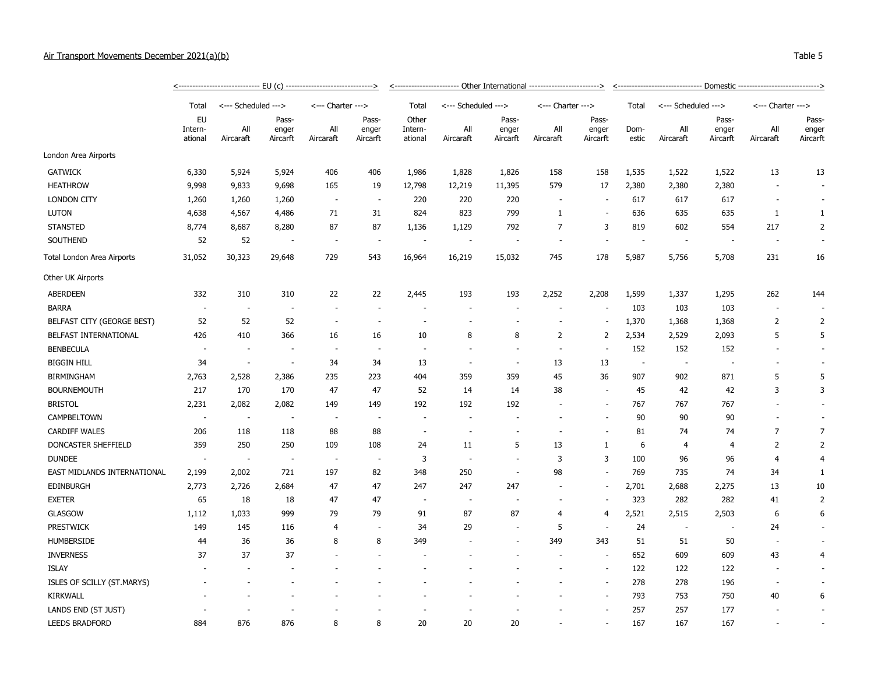| Air Transport Movements December 2021(a)(b) |           |  |             | Table 5 |
|---------------------------------------------|-----------|--|-------------|---------|
|                                             |           |  |             |         |
|                                             | $-1$ $-1$ |  | $\sim$<br>. |         |

|                             | <-------------------------------    EU (c)    ------------------------------> |                          |                          |                          |                          | <----------------------- Other International ------------------------> |                             |                          |                          |                   | <------------------------------    Domestic ----------------------------> |                          |                   |                   |                          |
|-----------------------------|-------------------------------------------------------------------------------|--------------------------|--------------------------|--------------------------|--------------------------|------------------------------------------------------------------------|-----------------------------|--------------------------|--------------------------|-------------------|---------------------------------------------------------------------------|--------------------------|-------------------|-------------------|--------------------------|
|                             | Total                                                                         | <--- Scheduled --->      |                          | <--- Charter --->        |                          | Total                                                                  | <--- Scheduled --->         |                          | <--- Charter --->        |                   | Total                                                                     | <--- Scheduled --->      |                   | <--- Charter ---> |                          |
|                             | EU                                                                            |                          | Pass-                    |                          | Pass-                    | Other                                                                  |                             | Pass-                    |                          | Pass-             |                                                                           |                          | Pass-             |                   | Pass-                    |
|                             | Intern-<br>ational                                                            | All<br>Aircaraft         | enger<br>Aircarft        | All<br>Aircaraft         | enger<br>Aircarft        | Intern-<br>ational                                                     | $\mathsf{All}$<br>Aircaraft | enger<br>Aircarft        | All<br>Aircaraft         | enger<br>Aircarft | Dom-<br>estic                                                             | All<br>Aircaraft         | enger<br>Aircarft | All<br>Aircaraft  | enger<br>Aircarft        |
| London Area Airports        |                                                                               |                          |                          |                          |                          |                                                                        |                             |                          |                          |                   |                                                                           |                          |                   |                   |                          |
| <b>GATWICK</b>              | 6,330                                                                         | 5,924                    | 5,924                    | 406                      | 406                      | 1,986                                                                  | 1,828                       | 1,826                    | 158                      | 158               | 1,535                                                                     | 1,522                    | 1,522             | 13                | 13                       |
| <b>HEATHROW</b>             | 9,998                                                                         | 9,833                    | 9,698                    | 165                      | 19                       | 12,798                                                                 | 12,219                      | 11,395                   | 579                      | 17                | 2,380                                                                     | 2,380                    | 2,380             |                   | $\sim$                   |
| <b>LONDON CITY</b>          | 1,260                                                                         | 1,260                    | 1,260                    |                          | $\overline{\phantom{a}}$ | 220                                                                    | 220                         | 220                      | $\overline{a}$           |                   | 617                                                                       | 617                      | 617               |                   |                          |
| <b>LUTON</b>                | 4,638                                                                         | 4,567                    | 4,486                    | 71                       | 31                       | 824                                                                    | 823                         | 799                      | 1                        |                   | 636                                                                       | 635                      | 635               | 1                 | $\mathbf{1}$             |
| <b>STANSTED</b>             | 8,774                                                                         | 8,687                    | 8,280                    | 87                       | 87                       | 1,136                                                                  | 1,129                       | 792                      | $\overline{7}$           | 3                 | 819                                                                       | 602                      | 554               | 217               | $\overline{2}$           |
| SOUTHEND                    | 52                                                                            | 52                       |                          |                          | $\overline{\phantom{a}}$ | $\overline{\phantom{a}}$                                               |                             |                          |                          |                   | $\sim$                                                                    | $\overline{\phantom{a}}$ |                   |                   |                          |
| Total London Area Airports  | 31,052                                                                        | 30,323                   | 29,648                   | 729                      | 543                      | 16,964                                                                 | 16,219                      | 15,032                   | 745                      | 178               | 5,987                                                                     | 5,756                    | 5,708             | 231               | 16                       |
| Other UK Airports           |                                                                               |                          |                          |                          |                          |                                                                        |                             |                          |                          |                   |                                                                           |                          |                   |                   |                          |
| <b>ABERDEEN</b>             | 332                                                                           | 310                      | 310                      | 22                       | 22                       | 2,445                                                                  | 193                         | 193                      | 2,252                    | 2,208             | 1,599                                                                     | 1,337                    | 1,295             | 262               | 144                      |
| <b>BARRA</b>                | $\overline{\phantom{a}}$                                                      | $\overline{\phantom{a}}$ |                          |                          | $\sim$                   |                                                                        |                             |                          | $\overline{\phantom{a}}$ |                   | 103                                                                       | 103                      | 103               |                   |                          |
| BELFAST CITY (GEORGE BEST)  | 52                                                                            | 52                       | 52                       | $\sim$                   | $\overline{\phantom{a}}$ | ÷,                                                                     |                             |                          |                          |                   | 1,370                                                                     | 1,368                    | 1,368             | $\overline{2}$    | $\overline{2}$           |
| BELFAST INTERNATIONAL       | 426                                                                           | 410                      | 366                      | 16                       | 16                       | 10                                                                     | 8                           | 8                        | $\overline{2}$           | 2                 | 2,534                                                                     | 2,529                    | 2,093             | 5                 | 5                        |
| <b>BENBECULA</b>            | $\sim$                                                                        | $\overline{\phantom{a}}$ |                          | $\overline{\phantom{a}}$ | $\sim$                   | $\overline{\phantom{a}}$                                               |                             |                          | ٠                        |                   | 152                                                                       | 152                      | 152               |                   | $\sim$                   |
| <b>BIGGIN HILL</b>          | 34                                                                            | $\overline{\phantom{a}}$ | $\overline{\phantom{a}}$ | 34                       | 34                       | 13                                                                     | $\overline{\phantom{a}}$    | $\overline{\phantom{a}}$ | 13                       | 13                | $\overline{\phantom{a}}$                                                  | $\overline{\phantom{a}}$ |                   |                   | $\sim$                   |
| <b>BIRMINGHAM</b>           | 2,763                                                                         | 2,528                    | 2,386                    | 235                      | 223                      | 404                                                                    | 359                         | 359                      | 45                       | 36                | 907                                                                       | 902                      | 871               | 5                 | 5                        |
| <b>BOURNEMOUTH</b>          | 217                                                                           | 170                      | 170                      | 47                       | 47                       | 52                                                                     | 14                          | 14                       | 38                       |                   | 45                                                                        | 42                       | 42                | 3                 | 3                        |
| <b>BRISTOL</b>              | 2,231                                                                         | 2,082                    | 2,082                    | 149                      | 149                      | 192                                                                    | 192                         | 192                      |                          |                   | 767                                                                       | 767                      | 767               |                   |                          |
| CAMPBELTOWN                 | $\overline{\phantom{a}}$                                                      | $\sim$                   | $\overline{\phantom{a}}$ | $\sim$                   | $\sim$                   | $\overline{\phantom{a}}$                                               |                             |                          | ÷,                       |                   | 90                                                                        | 90                       | 90                |                   |                          |
| <b>CARDIFF WALES</b>        | 206                                                                           | 118                      | 118                      | 88                       | 88                       | $\sim$                                                                 | $\sim$                      |                          | ٠                        |                   | 81                                                                        | 74                       | 74                | 7                 | $\overline{7}$           |
| DONCASTER SHEFFIELD         | 359                                                                           | 250                      | 250                      | 109                      | 108                      | 24                                                                     | 11                          | 5                        | 13                       | $\mathbf{1}$      | 6                                                                         | $\overline{4}$           | $\overline{4}$    | $\overline{2}$    | $\overline{2}$           |
| <b>DUNDEE</b>               | $\sim$                                                                        | $\sim$                   | $\sim$                   | $\overline{\phantom{a}}$ | $\overline{\phantom{a}}$ | 3                                                                      | $\overline{\phantom{a}}$    |                          | 3                        | 3                 | 100                                                                       | 96                       | 96                | 4                 | $\overline{4}$           |
| EAST MIDLANDS INTERNATIONAL | 2,199                                                                         | 2,002                    | 721                      | 197                      | 82                       | 348                                                                    | 250                         |                          | 98                       |                   | 769                                                                       | 735                      | 74                | 34                | 1                        |
| <b>EDINBURGH</b>            | 2,773                                                                         | 2,726                    | 2,684                    | 47                       | 47                       | 247                                                                    | 247                         | 247                      |                          |                   | 2,701                                                                     | 2,688                    | 2,275             | 13                | 10                       |
| <b>EXETER</b>               | 65                                                                            | 18                       | 18                       | 47                       | 47                       | $\sim$                                                                 | $\overline{\phantom{a}}$    |                          |                          |                   | 323                                                                       | 282                      | 282               | 41                | $\overline{2}$           |
| <b>GLASGOW</b>              | 1,112                                                                         | 1,033                    | 999                      | 79                       | 79                       | 91                                                                     | 87                          | 87                       | 4                        | 4                 | 2,521                                                                     | 2,515                    | 2,503             | 6                 | 6                        |
| <b>PRESTWICK</b>            | 149                                                                           | 145                      | 116                      | 4                        | $\sim$                   | 34                                                                     | 29                          |                          | 5                        |                   | 24                                                                        | $\sim$                   |                   | 24                | $\overline{\phantom{a}}$ |
| <b>HUMBERSIDE</b>           | 44                                                                            | 36                       | 36                       | 8                        | 8                        | 349                                                                    |                             |                          | 349                      | 343               | 51                                                                        | 51                       | 50                |                   | $\overline{\phantom{a}}$ |
| <b>INVERNESS</b>            | 37                                                                            | 37                       | 37                       |                          |                          |                                                                        |                             |                          |                          |                   | 652                                                                       | 609                      | 609               | 43                | 4                        |
| <b>ISLAY</b>                |                                                                               |                          |                          |                          |                          |                                                                        |                             |                          |                          |                   | 122                                                                       | 122                      | 122               |                   |                          |
| ISLES OF SCILLY (ST.MARYS)  |                                                                               |                          |                          |                          |                          |                                                                        |                             |                          |                          |                   | 278                                                                       | 278                      | 196               |                   |                          |
| <b>KIRKWALL</b>             |                                                                               |                          |                          |                          |                          |                                                                        |                             |                          |                          |                   | 793                                                                       | 753                      | 750               | 40                | 6                        |
| LANDS END (ST JUST)         |                                                                               |                          |                          |                          |                          |                                                                        |                             |                          |                          |                   | 257                                                                       | 257                      | 177               |                   |                          |
| <b>LEEDS BRADFORD</b>       | 884                                                                           | 876                      | 876                      | 8                        | 8                        | 20                                                                     | 20                          | 20                       |                          |                   | 167                                                                       | 167                      | 167               |                   |                          |